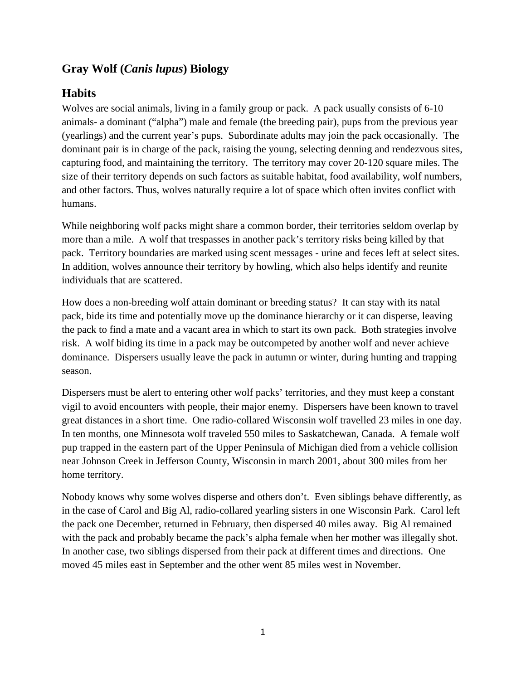# **Gray Wolf (***Canis lupus***) Biology**

# **Habits**

Wolves are social animals, living in a family group or pack. A pack usually consists of 6-10 animals- a dominant ("alpha") male and female (the breeding pair), pups from the previous year (yearlings) and the current year's pups. Subordinate adults may join the pack occasionally. The dominant pair is in charge of the pack, raising the young, selecting denning and rendezvous sites, capturing food, and maintaining the territory. The territory may cover 20-120 square miles. The size of their territory depends on such factors as suitable habitat, food availability, wolf numbers, and other factors. Thus, wolves naturally require a lot of space which often invites conflict with humans.

While neighboring wolf packs might share a common border, their territories seldom overlap by more than a mile. A wolf that trespasses in another pack's territory risks being killed by that pack. Territory boundaries are marked using scent messages - urine and feces left at select sites. In addition, wolves announce their territory by howling, which also helps identify and reunite individuals that are scattered.

How does a non-breeding wolf attain dominant or breeding status? It can stay with its natal pack, bide its time and potentially move up the dominance hierarchy or it can disperse, leaving the pack to find a mate and a vacant area in which to start its own pack. Both strategies involve risk. A wolf biding its time in a pack may be outcompeted by another wolf and never achieve dominance. Dispersers usually leave the pack in autumn or winter, during hunting and trapping season.

Dispersers must be alert to entering other wolf packs' territories, and they must keep a constant vigil to avoid encounters with people, their major enemy. Dispersers have been known to travel great distances in a short time. One radio-collared Wisconsin wolf travelled 23 miles in one day. In ten months, one Minnesota wolf traveled 550 miles to Saskatchewan, Canada. A female wolf pup trapped in the eastern part of the Upper Peninsula of Michigan died from a vehicle collision near Johnson Creek in Jefferson County, Wisconsin in march 2001, about 300 miles from her home territory.

Nobody knows why some wolves disperse and others don't. Even siblings behave differently, as in the case of Carol and Big Al, radio-collared yearling sisters in one Wisconsin Park. Carol left the pack one December, returned in February, then dispersed 40 miles away. Big Al remained with the pack and probably became the pack's alpha female when her mother was illegally shot. In another case, two siblings dispersed from their pack at different times and directions. One moved 45 miles east in September and the other went 85 miles west in November.